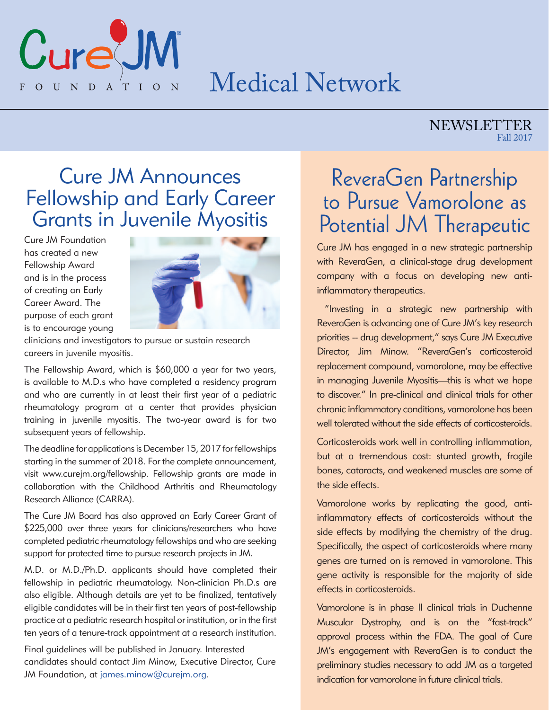

# Medical Network

### NEWSLETTER Fall 2017

## Cure JM Announces Fellowship and Early Career Grants in Juvenile Myositis

Cure JM Foundation has created a new Fellowship Award and is in the process of creating an Early Career Award. The purpose of each grant is to encourage young



clinicians and investigators to pursue or sustain research careers in juvenile myositis.

The Fellowship Award, which is \$60,000 a year for two years, is available to M.D.s who have completed a residency program and who are currently in at least their first year of a pediatric rheumatology program at a center that provides physician training in juvenile myositis. The two-year award is for two subsequent years of fellowship.

The deadline for applications is December 15, 2017 for fellowships starting in the summer of 2018. For the complete announcement, visit www.curejm.org/fellowship. Fellowship grants are made in collaboration with the Childhood Arthritis and Rheumatology Research Alliance (CARRA).

The Cure JM Board has also approved an Early Career Grant of \$225,000 over three years for clinicians/researchers who have completed pediatric rheumatology fellowships and who are seeking support for protected time to pursue research projects in JM.

M.D. or M.D./Ph.D. applicants should have completed their fellowship in pediatric rheumatology. Non-clinician Ph.D.s are also eligible. Although details are yet to be finalized, tentatively eligible candidates will be in their first ten years of post-fellowship practice at a pediatric research hospital or institution, or in the first ten years of a tenure-track appointment at a research institution.

Final guidelines will be published in January. Interested candidates should contact Jim Minow, Executive Director, Cure JM Foundation, at james.minow@curejm.org.

# ReveraGen Partnership to Pursue Vamorolone as Potential JM Therapeutic

Cure JM has engaged in a new strategic partnership with ReveraGen, a clinical-stage drug development company with a focus on developing new antiinflammatory therapeutics.

 "Investing in a strategic new partnership with ReveraGen is advancing one of Cure JM's key research priorities -- drug development," says Cure JM Executive Director, Jim Minow. "ReveraGen's corticosteroid replacement compound, vamorolone, may be effective in managing Juvenile Myositis—this is what we hope to discover." In pre-clinical and clinical trials for other chronic inflammatory conditions, vamorolone has been well tolerated without the side effects of corticosteroids.

Corticosteroids work well in controlling inflammation, but at a tremendous cost: stunted growth, fragile bones, cataracts, and weakened muscles are some of the side effects.

Vamorolone works by replicating the good, antiinflammatory effects of corticosteroids without the side effects by modifying the chemistry of the drug. Specifically, the aspect of corticosteroids where many genes are turned on is removed in vamorolone. This gene activity is responsible for the majority of side effects in corticosteroids.

Vamorolone is in phase II clinical trials in Duchenne Muscular Dystrophy, and is on the "fast-track" approval process within the FDA. The goal of Cure JM's engagement with ReveraGen is to conduct the preliminary studies necessary to add JM as a targeted indication for vamorolone in future clinical trials.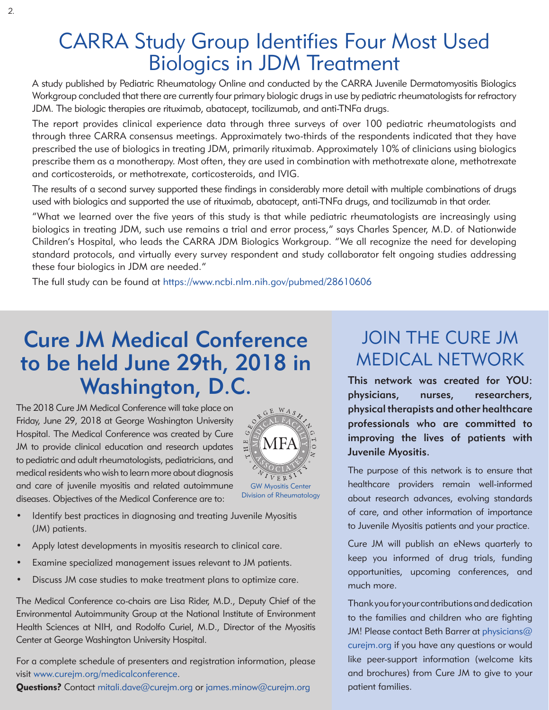## CARRA Study Group Identifies Four Most Used Biologics in JDM Treatment

A study published by Pediatric Rheumatology Online and conducted by the CARRA Juvenile Dermatomyositis Biologics Workgroup concluded that there are currently four primary biologic drugs in use by pediatric rheumatologists for refractory JDM. The biologic therapies are rituximab, abatacept, tocilizumab, and anti-TNFa drugs.

The report provides clinical experience data through three surveys of over 100 pediatric rheumatologists and through three CARRA consensus meetings. Approximately two-thirds of the respondents indicated that they have prescribed the use of biologics in treating JDM, primarily rituximab. Approximately 10% of clinicians using biologics prescribe them as a monotherapy. Most often, they are used in combination with methotrexate alone, methotrexate and corticosteroids, or methotrexate, corticosteroids, and IVIG.

The results of a second survey supported these findings in considerably more detail with multiple combinations of drugs used with biologics and supported the use of rituximab, abatacept, anti-TNFa drugs, and tocilizumab in that order.

"What we learned over the five years of this study is that while pediatric rheumatologists are increasingly using biologics in treating JDM, such use remains a trial and error process," says Charles Spencer, M.D. of Nationwide Children's Hospital, who leads the CARRA JDM Biologics Workgroup. "We all recognize the need for developing standard protocols, and virtually every survey respondent and study collaborator felt ongoing studies addressing these four biologics in JDM are needed."

The full study can be found at https://www.ncbi.nlm.nih.gov/pubmed/28610606

# Cure JM Medical Conference to be held June 29th, 2018 in Washington, D.C.

The 2018 Cure JM Medical Conference will take place on Friday, June 29, 2018 at George Washington University Hospital. The Medical Conference was created by Cure JM to provide clinical education and research updates to pediatric and adult rheumatologists, pediatricians, and medical residents who wish to learn more about diagnosis and care of juvenile myositis and related autoimmune diseases. Objectives of the Medical Conference are to:



- Identify best practices in diagnosing and treating Juvenile Myositis (JM) patients.
- Apply latest developments in myositis research to clinical care.
- Examine specialized management issues relevant to JM patients.
- Discuss JM case studies to make treatment plans to optimize care.

The Medical Conference co-chairs are Lisa Rider, M.D., Deputy Chief of the Environmental Autoimmunity Group at the National Institute of Environment Health Sciences at NIH, and Rodolfo Curiel, M.D., Director of the Myositis Center at George Washington University Hospital.

For a complete schedule of presenters and registration information, please visit www.curejm.org/medicalconference.

Questions? Contact mitali.dave@curejm.org or james.minow@curejm.org

### JOIN THE CURE JM MEDICAL NETWORK

This network was created for YOU: physicians, nurses, researchers, physical therapists and other healthcare professionals who are committed to improving the lives of patients with Juvenile Myositis.

The purpose of this network is to ensure that healthcare providers remain well-informed about research advances, evolving standards of care, and other information of importance to Juvenile Myositis patients and your practice.

Cure JM will publish an eNews quarterly to keep you informed of drug trials, funding opportunities, upcoming conferences, and much more.

Thank you for your contributions and dedication to the families and children who are fighting JM! Please contact Beth Barrer at physicians@ curejm.org if you have any questions or would like peer-support information (welcome kits and brochures) from Cure JM to give to your patient families.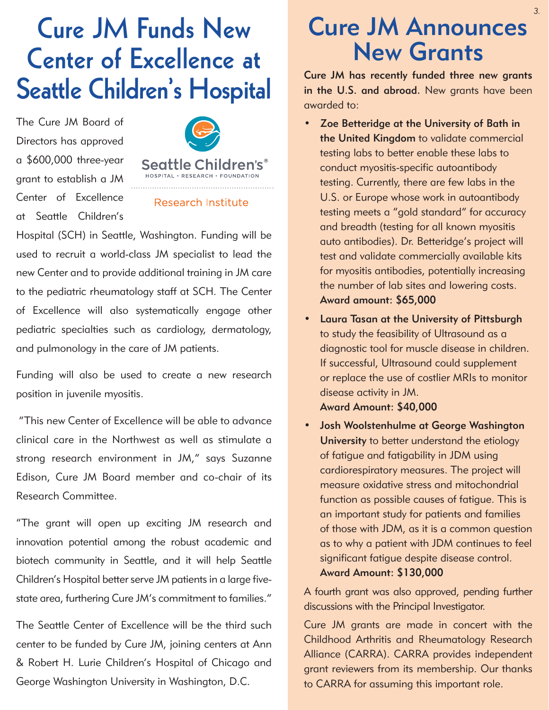# **Cure JM Funds New Center of Excellence at Seattle Children's Hospital**

The Cure JM Board of Directors has approved a \$600,000 three-year grant to establish a JM Center of Excellence at Seattle Children's



### **Research Institute**

Hospital (SCH) in Seattle, Washington. Funding will be used to recruit a world-class JM specialist to lead the new Center and to provide additional training in JM care to the pediatric rheumatology staff at SCH. The Center of Excellence will also systematically engage other pediatric specialties such as cardiology, dermatology, and pulmonology in the care of JM patients.

Funding will also be used to create a new research position in juvenile myositis.

 "This new Center of Excellence will be able to advance clinical care in the Northwest as well as stimulate a strong research environment in JM," says Suzanne Edison, Cure JM Board member and co-chair of its Research Committee.

"The grant will open up exciting JM research and innovation potential among the robust academic and biotech community in Seattle, and it will help Seattle Children's Hospital better serve JM patients in a large fivestate area, furthering Cure JM's commitment to families."

The Seattle Center of Excellence will be the third such center to be funded by Cure JM, joining centers at Ann & Robert H. Lurie Children's Hospital of Chicago and George Washington University in Washington, D.C.

# Cure JM Announces New Grants

Cure JM has recently funded three new grants in the U.S. and abroad. New grants have been awarded to:

- Zoe Betteridge at the University of Bath in the United Kingdom to validate commercial testing labs to better enable these labs to conduct myositis-specific autoantibody testing. Currently, there are few labs in the U.S. or Europe whose work in autoantibody testing meets a "gold standard" for accuracy and breadth (testing for all known myositis auto antibodies). Dr. Betteridge's project will test and validate commercially available kits for myositis antibodies, potentially increasing the number of lab sites and lowering costs. Award amount: \$65,000
- • Laura Tasan at the University of Pittsburgh to study the feasibility of Ultrasound as a diagnostic tool for muscle disease in children. If successful, Ultrasound could supplement or replace the use of costlier MRIs to monitor disease activity in JM.

Award Amount: \$40,000

Josh Woolstenhulme at George Washington University to better understand the etiology of fatigue and fatigability in JDM using cardiorespiratory measures. The project will measure oxidative stress and mitochondrial function as possible causes of fatigue. This is an important study for patients and families of those with JDM, as it is a common question as to why a patient with JDM continues to feel significant fatigue despite disease control.

#### Award Amount: \$130,000

A fourth grant was also approved, pending further discussions with the Principal Investigator.

Cure JM grants are made in concert with the Childhood Arthritis and Rheumatology Research Alliance (CARRA). CARRA provides independent grant reviewers from its membership. Our thanks to CARRA for assuming this important role.